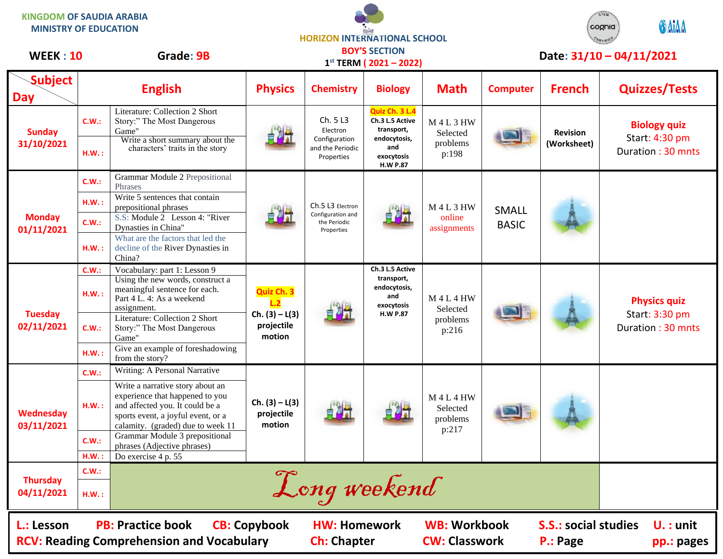**KINGDOM OF SAUDIA ARABIA MINISTRY OF EDUCATION**

**HORIZON INTERNATIONAL SCHOOL BOY'S SECTION**



| <b>WEEK: 10</b>               |                                                                                                                              | Grade: 9B                                                                                                                                                                         |                                                        |                                                                         | <b>BOY'S SECTION</b><br>$1^{st}$ TERM (2021 – 2022)                                                     |                                                |                              |                                | Date: 31/10 - 04/11/2021                                   |
|-------------------------------|------------------------------------------------------------------------------------------------------------------------------|-----------------------------------------------------------------------------------------------------------------------------------------------------------------------------------|--------------------------------------------------------|-------------------------------------------------------------------------|---------------------------------------------------------------------------------------------------------|------------------------------------------------|------------------------------|--------------------------------|------------------------------------------------------------|
| <b>Subject</b><br><b>Day</b>  |                                                                                                                              | <b>English</b>                                                                                                                                                                    | <b>Physics</b>                                         | <b>Chemistry</b>                                                        | <b>Biology</b>                                                                                          | <b>Math</b>                                    | <b>Computer</b>              | <b>French</b>                  | <b>Quizzes/Tests</b>                                       |
| <b>Sunday</b><br>31/10/2021   | <b>C.W.:</b>                                                                                                                 | Literature: Collection 2 Short<br>Story:" The Most Dangerous<br>Game'                                                                                                             |                                                        | Ch. 5 L3<br>Electron<br>Configuration<br>and the Periodic<br>Properties | Quiz Ch. 3 L.4<br>Ch.3 L.5 Active<br>transport,<br>endocytosis,<br>and<br>exocytosis<br><b>H.W P.87</b> | <b>M4L3HW</b><br>Selected<br>problems<br>p:198 |                              | <b>Revision</b><br>(Worksheet) | <b>Biology quiz</b><br>Start: 4:30 pm<br>Duration: 30 mnts |
|                               | H.W.:                                                                                                                        | Write a short summary about the<br>characters' traits in the story                                                                                                                |                                                        |                                                                         |                                                                                                         |                                                |                              |                                |                                                            |
| <b>Monday</b><br>01/11/2021   | C.W.:                                                                                                                        | <b>Grammar Module 2 Prepositional</b><br>Phrases                                                                                                                                  |                                                        | Ch.5 L3 Electron<br>Configuration and<br>the Periodic<br>Properties     | 自测计                                                                                                     | <b>M4L3HW</b><br>online<br>assignments         | <b>SMALL</b><br><b>BASIC</b> |                                |                                                            |
|                               | H.W.:                                                                                                                        | Write 5 sentences that contain<br>prepositional phrases                                                                                                                           |                                                        |                                                                         |                                                                                                         |                                                |                              |                                |                                                            |
|                               | C.W.:                                                                                                                        | S.S: Module 2 Lesson 4: "River<br>Dynasties in China"                                                                                                                             |                                                        |                                                                         |                                                                                                         |                                                |                              |                                |                                                            |
|                               | H.W.:                                                                                                                        | What are the factors that led the<br>decline of the River Dynasties in<br>China?                                                                                                  |                                                        |                                                                         |                                                                                                         |                                                |                              |                                |                                                            |
| <b>Tuesday</b><br>02/11/2021  | C.W.:                                                                                                                        | Vocabulary: part 1: Lesson 9                                                                                                                                                      | Quiz Ch. 3<br>Ch. $(3) - L(3)$<br>projectile<br>motion |                                                                         | Ch.3 L.5 Active<br>transport,<br>endocytosis,<br>and<br>exocytosis<br><b>H.W P.87</b>                   | $M$ 4 L 4 HW<br>Selected<br>problems<br>p:216  |                              |                                |                                                            |
|                               | H.W.:                                                                                                                        | Using the new words, construct a<br>meaningful sentence for each.<br>Part 4 L. 4: As a weekend<br>assignment.                                                                     |                                                        |                                                                         |                                                                                                         |                                                |                              |                                | <b>Physics quiz</b><br>Start: 3:30 pm<br>Duration: 30 mnts |
|                               | C.W.:                                                                                                                        | Literature: Collection 2 Short<br>Story:" The Most Dangerous<br>Game"                                                                                                             |                                                        |                                                                         |                                                                                                         |                                                |                              |                                |                                                            |
|                               | H.W.:                                                                                                                        | Give an example of foreshadowing<br>from the story?                                                                                                                               |                                                        |                                                                         |                                                                                                         |                                                |                              |                                |                                                            |
|                               | C.W.:                                                                                                                        | Writing: A Personal Narrative                                                                                                                                                     | $Ch. (3) - L(3)$<br>projectile<br>motion               |                                                                         |                                                                                                         | <b>M4L4HW</b><br>Selected<br>problems<br>p:217 |                              |                                |                                                            |
| Wednesday<br>03/11/2021       | H.W.:                                                                                                                        | Write a narrative story about an<br>experience that happened to you<br>and affected you. It could be a<br>sports event, a joyful event, or a<br>calamity. (graded) due to week 11 |                                                        |                                                                         |                                                                                                         |                                                |                              |                                |                                                            |
|                               | C.W.:                                                                                                                        | Grammar Module 3 prepositional<br>phrases (Adjective phrases)                                                                                                                     |                                                        |                                                                         |                                                                                                         |                                                |                              |                                |                                                            |
| <b>Thursday</b><br>04/11/2021 | H.W.:                                                                                                                        | Do exercise 4 p. 55                                                                                                                                                               |                                                        |                                                                         |                                                                                                         |                                                |                              |                                |                                                            |
|                               | <b>C.W.:</b>                                                                                                                 |                                                                                                                                                                                   |                                                        |                                                                         |                                                                                                         |                                                |                              |                                |                                                            |
|                               | H.W.:                                                                                                                        | Long weekend                                                                                                                                                                      |                                                        |                                                                         |                                                                                                         |                                                |                              |                                |                                                            |
| L.: Lesson                    | <b>PB: Practice book</b><br><b>WB: Workbook</b><br><b>CB: Copybook</b><br><b>S.S.: social studies</b><br><b>HW: Homework</b> |                                                                                                                                                                                   |                                                        |                                                                         |                                                                                                         |                                                |                              | $U.$ : unit                    |                                                            |

RCV: Reading Comprehension and Vocabulary **Ch:** Chapter **CW: Classwork P.: Page** pp.: pages